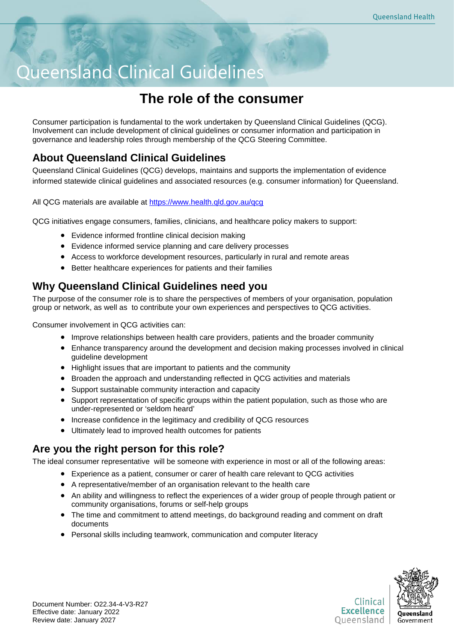# Queensland Clinical Guidelines

# **The role of the consumer**

Consumer participation is fundamental to the work undertaken by Queensland Clinical Guidelines (QCG). Involvement can include development of clinical guidelines or consumer information and participation in governance and leadership roles through membership of the QCG Steering Committee.

# **About Queensland Clinical Guidelines**

Queensland Clinical Guidelines (QCG) develops, maintains and supports the implementation of evidence informed statewide clinical guidelines and associated resources (e.g. consumer information) for Queensland.

All QCG materials are available at<https://www.health.qld.gov.au/qcg>

QCG initiatives engage consumers, families, clinicians, and healthcare policy makers to support:

- Evidence informed frontline clinical decision making
- Evidence informed service planning and care delivery processes
- Access to workforce development resources, particularly in rural and remote areas
- Better healthcare experiences for patients and their families

# **Why Queensland Clinical Guidelines need you**

The purpose of the consumer role is to share the perspectives of members of your organisation, population group or network, as well as to contribute your own experiences and perspectives to QCG activities.

Consumer involvement in QCG activities can:

- Improve relationships between health care providers, patients and the broader community
- Enhance transparency around the development and decision making processes involved in clinical guideline development
- Highlight issues that are important to patients and the community
- Broaden the approach and understanding reflected in QCG activities and materials
- Support sustainable community interaction and capacity
- Support representation of specific groups within the patient population, such as those who are under-represented or 'seldom heard'
- Increase confidence in the legitimacy and credibility of QCG resources
- Ultimately lead to improved health outcomes for patients

# **Are you the right person for this role?**

The ideal consumer representative will be someone with experience in most or all of the following areas:

- Experience as a patient, consumer or carer of health care relevant to QCG activities
- A representative/member of an organisation relevant to the health care
- An ability and willingness to reflect the experiences of a wider group of people through patient or community organisations, forums or self-help groups
- The time and commitment to attend meetings, do background reading and comment on draft documents
- Personal skills including teamwork, communication and computer literacy